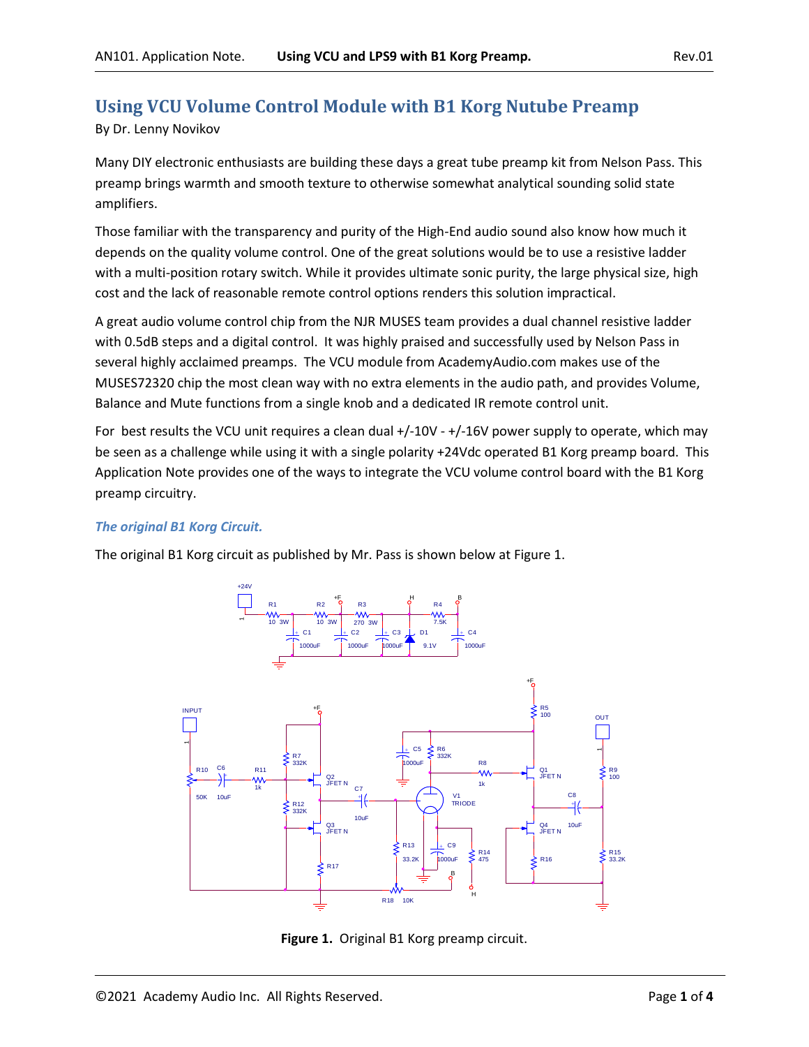# **Using VCU Volume Control Module with B1 Korg Nutube Preamp**

By Dr. Lenny Novikov

Many DIY electronic enthusiasts are building these days a great tube preamp kit from Nelson Pass. This preamp brings warmth and smooth texture to otherwise somewhat analytical sounding solid state amplifiers.

Those familiar with the transparency and purity of the High-End audio sound also know how much it depends on the quality volume control. One of the great solutions would be to use a resistive ladder with a multi-position rotary switch. While it provides ultimate sonic purity, the large physical size, high cost and the lack of reasonable remote control options renders this solution impractical.

A great audio volume control chip from the NJR MUSES team provides a dual channel resistive ladder with 0.5dB steps and a digital control. It was highly praised and successfully used by Nelson Pass in several highly acclaimed preamps. The VCU module from AcademyAudio.com makes use of the MUSES72320 chip the most clean way with no extra elements in the audio path, and provides Volume, Balance and Mute functions from a single knob and a dedicated IR remote control unit.

For best results the VCU unit requires a clean dual +/-10V - +/-16V power supply to operate, which may be seen as a challenge while using it with a single polarity +24Vdc operated B1 Korg preamp board. This Application Note provides one of the ways to integrate the VCU volume control board with the B1 Korg preamp circuitry.

## *The original B1 Korg Circuit.*

The original B1 Korg circuit as published by Mr. Pass is shown below at Figure 1.



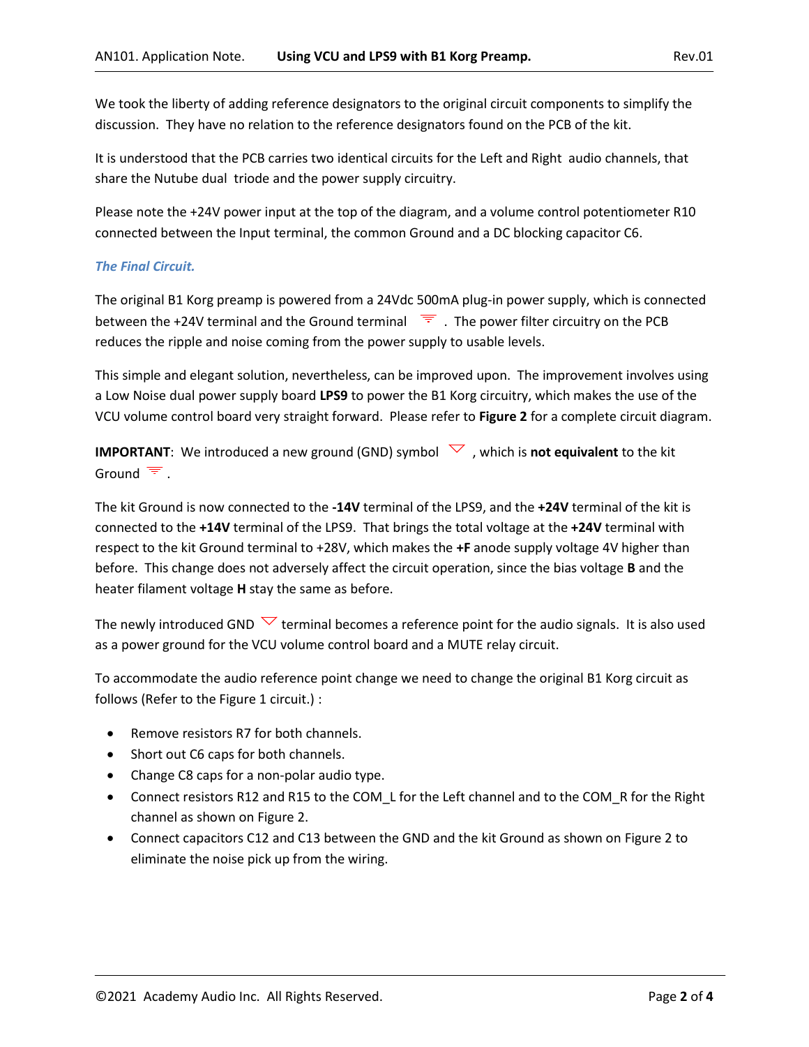We took the liberty of adding reference designators to the original circuit components to simplify the discussion. They have no relation to the reference designators found on the PCB of the kit.

It is understood that the PCB carries two identical circuits for the Left and Right audio channels, that share the Nutube dual triode and the power supply circuitry.

Please note the +24V power input at the top of the diagram, and a volume control potentiometer R10 connected between the Input terminal, the common Ground and a DC blocking capacitor C6.

### *The Final Circuit.*

The original B1 Korg preamp is powered from a 24Vdc 500mA plug-in power supply, which is connected between the +24V terminal and the Ground terminal  $\overline{F}$ . The power filter circuitry on the PCB reduces the ripple and noise coming from the power supply to usable levels.

This simple and elegant solution, nevertheless, can be improved upon. The improvement involves using a Low Noise dual power supply board **LPS9** to power the B1 Korg circuitry, which makes the use of the VCU volume control board very straight forward. Please refer to **Figure 2** for a complete circuit diagram.

**IMPORTANT**: We introduced a new ground (GND) symbol  $\vee$ , which is **not equivalent** to the kit Ground  $\overline{F}$ .

The kit Ground is now connected to the **-14V** terminal of the LPS9, and the **+24V** terminal of the kit is connected to the **+14V** terminal of the LPS9. That brings the total voltage at the **+24V** terminal with respect to the kit Ground terminal to +28V, which makes the **+F** anode supply voltage 4V higher than before. This change does not adversely affect the circuit operation, since the bias voltage **B** and the heater filament voltage **H** stay the same as before.

The newly introduced GND  $\vee$  terminal becomes a reference point for the audio signals. It is also used as a power ground for the VCU volume control board and a MUTE relay circuit.

To accommodate the audio reference point change we need to change the original B1 Korg circuit as follows (Refer to the Figure 1 circuit.) :

- Remove resistors R7 for both channels.
- Short out C6 caps for both channels.
- Change C8 caps for a non-polar audio type.
- Connect resistors R12 and R15 to the COM\_L for the Left channel and to the COM\_R for the Right channel as shown on Figure 2.
- Connect capacitors C12 and C13 between the GND and the kit Ground as shown on Figure 2 to eliminate the noise pick up from the wiring.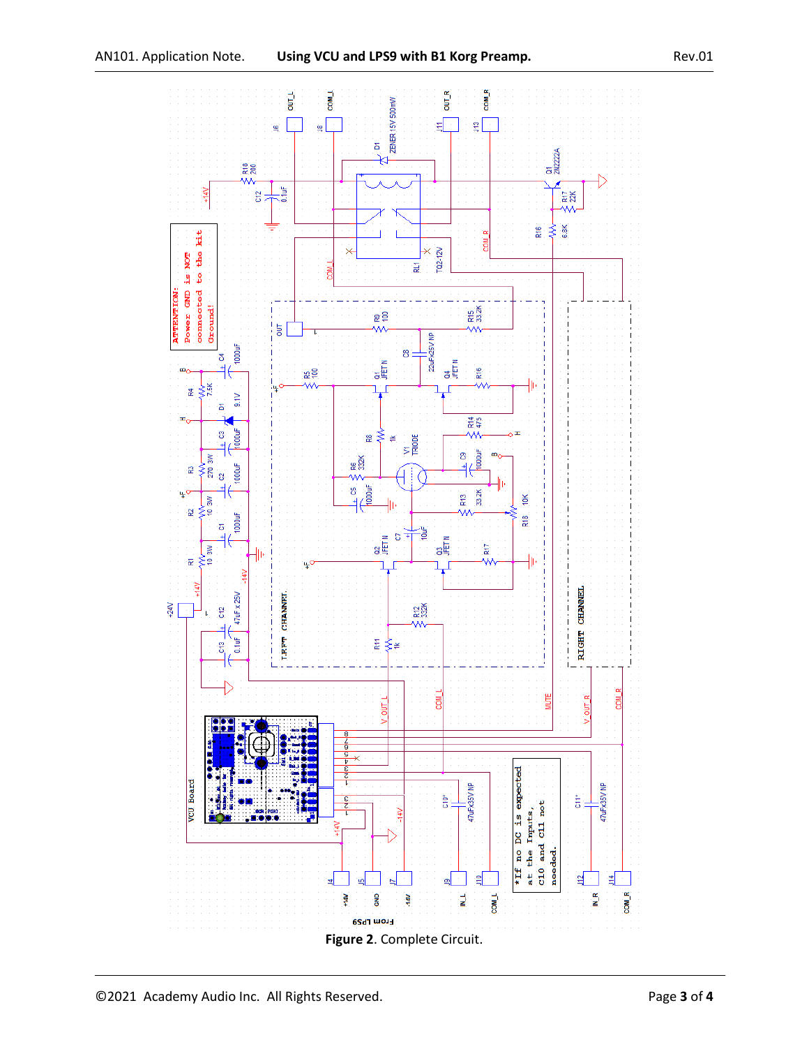

©2021 Academy Audio Inc. All Rights Reserved. Page **3** of **4**